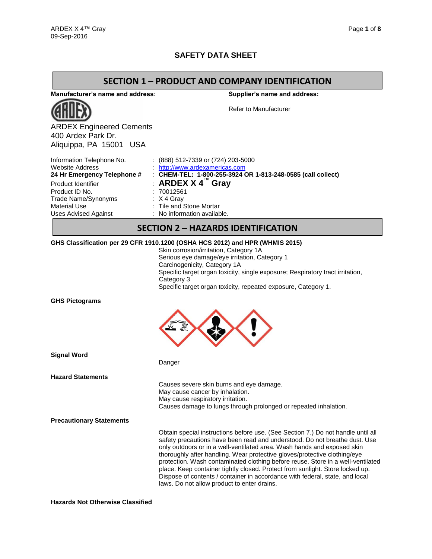## **SAFETY DATA SHEET**

### **SECTION 1 – PRODUCT AND COMPANY IDENTIFICATION**

**Manufacturer's name and address:**



ARDEX Engineered Cements 400 Ardex Park Dr. Aliquippa, PA 15001 USA

**Supplier's name and address:**

Refer to Manufacturer

| Information Telephone No.   | $(888)$ 512-7339 or (724) 203-5000                          |
|-----------------------------|-------------------------------------------------------------|
| <b>Website Address</b>      | http://www.ardexamericas.com                                |
| 24 Hr Emergency Telephone # | : CHEM-TEL: 1-800-255-3924 OR 1-813-248-0585 (call collect) |
| Product Identifier          | : ARDEX X $4^{\prime\prime\prime}$ Grav                     |
| Product ID No.              | : 70012561                                                  |
| Trade Name/Synonyms         | $\therefore$ X 4 Gray                                       |
| Material Use                | : Tile and Stone Mortar                                     |
| <b>Uses Advised Against</b> | : No information available.                                 |
|                             |                                                             |

### **SECTION 2 – HAZARDS IDENTIFICATION**

#### **GHS Classification per 29 CFR 1910.1200 (OSHA HCS 2012) and HPR (WHMIS 2015)**

Danger

Skin corrosion/irritation, Category 1A Serious eye damage/eye irritation, Category 1 Carcinogenicity, Category 1A Specific target organ toxicity, single exposure; Respiratory tract irritation, Category 3 Specific target organ toxicity, repeated exposure, Category 1.

**GHS Pictograms**



**Signal Word**

**Hazard Statements**

Causes severe skin burns and eye damage. May cause cancer by inhalation. May cause respiratory irritation. Causes damage to lungs through prolonged or repeated inhalation.

**Precautionary Statements**

Obtain special instructions before use. (See Section 7.) Do not handle until all safety precautions have been read and understood. Do not breathe dust. Use only outdoors or in a well-ventilated area. Wash hands and exposed skin thoroughly after handling. Wear protective gloves/protective clothing/eye protection. Wash contaminated clothing before reuse. Store in a well-ventilated place. Keep container tightly closed. Protect from sunlight. Store locked up. Dispose of contents / container in accordance with federal, state, and local laws. Do not allow product to enter drains.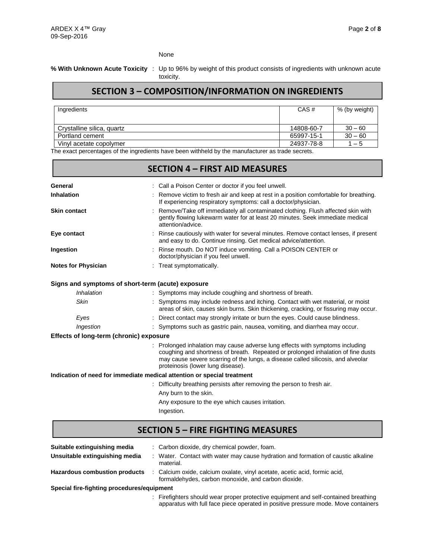None

### **% With Unknown Acute Toxicity** : Up to 96% by weight of this product consists of ingredients with unknown acute toxicity.

# **SECTION 3 – COMPOSITION/INFORMATION ON INGREDIENTS**

| Ingredients                | CAS#       | % (by weight) |
|----------------------------|------------|---------------|
| Crystalline silica, quartz | 14808-60-7 | $30 - 60$     |
| Portland cement            | 65997-15-1 | $30 - 60$     |
| Vinyl acetate copolymer    | 24937-78-8 | $1 - 5$       |

The exact percentages of the ingredients have been withheld by the manufacturer as trade secrets.

|                                         | <b>SECTION 4 - FIRST AID MEASURES</b>                                                                                                                                                                                                                                                    |
|-----------------------------------------|------------------------------------------------------------------------------------------------------------------------------------------------------------------------------------------------------------------------------------------------------------------------------------------|
| General                                 | : Call a Poison Center or doctor if you feel unwell.                                                                                                                                                                                                                                     |
| Inhalation                              | Remove victim to fresh air and keep at rest in a position comfortable for breathing.<br>If experiencing respiratory symptoms: call a doctor/physician.                                                                                                                                   |
| <b>Skin contact</b>                     | Remove/Take off immediately all contaminated clothing. Flush affected skin with<br>gently flowing lukewarm water for at least 20 minutes. Seek immediate medical<br>attention/advice.                                                                                                    |
| Eye contact                             | Rinse cautiously with water for several minutes. Remove contact lenses, if present<br>and easy to do. Continue rinsing. Get medical advice/attention.                                                                                                                                    |
| Ingestion                               | Rinse mouth. Do NOT induce vomiting. Call a POISON CENTER or<br>doctor/physician if you feel unwell.                                                                                                                                                                                     |
| <b>Notes for Physician</b>              | Treat symptomatically.                                                                                                                                                                                                                                                                   |
|                                         | Signs and symptoms of short-term (acute) exposure                                                                                                                                                                                                                                        |
| <b>Inhalation</b>                       | : Symptoms may include coughing and shortness of breath.                                                                                                                                                                                                                                 |
| <b>Skin</b>                             | Symptoms may include redness and itching. Contact with wet material, or moist<br>areas of skin, causes skin burns. Skin thickening, cracking, or fissuring may occur.                                                                                                                    |
| Eyes                                    | : Direct contact may strongly irritate or burn the eyes. Could cause blindness.                                                                                                                                                                                                          |
| Ingestion                               | : Symptoms such as gastric pain, nausea, vomiting, and diarrhea may occur.                                                                                                                                                                                                               |
| Effects of long-term (chronic) exposure |                                                                                                                                                                                                                                                                                          |
|                                         | Prolonged inhalation may cause adverse lung effects with symptoms including<br>coughing and shortness of breath. Repeated or prolonged inhalation of fine dusts<br>may cause severe scarring of the lungs, a disease called silicosis, and alveolar<br>proteinosis (lower lung disease). |
|                                         | Indication of need for immediate medical attention or special treatment                                                                                                                                                                                                                  |
|                                         | Difficulty breathing persists after removing the person to fresh air.<br>÷                                                                                                                                                                                                               |
|                                         | Any burn to the skin.                                                                                                                                                                                                                                                                    |
|                                         | Any exposure to the eye which causes irritation.                                                                                                                                                                                                                                         |
|                                         | Ingestion.                                                                                                                                                                                                                                                                               |
|                                         | <b>SECTION 5 - FIRE FIGHTING MEASURES</b>                                                                                                                                                                                                                                                |

| Suitable extinguishing media               | : Carbon dioxide, dry chemical powder, foam.                                                                                      |
|--------------------------------------------|-----------------------------------------------------------------------------------------------------------------------------------|
| Unsuitable extinguishing media             | : Water. Contact with water may cause hydration and formation of caustic alkaline<br>material.                                    |
| <b>Hazardous combustion products</b>       | : Calcium oxide, calcium oxalate, vinyl acetate, acetic acid, formic acid,<br>formaldehydes, carbon monoxide, and carbon dioxide. |
| Special fire-fighting procedures/equipment |                                                                                                                                   |
|                                            |                                                                                                                                   |

: Firefighters should wear proper protective equipment and self-contained breathing apparatus with full face piece operated in positive pressure mode. Move containers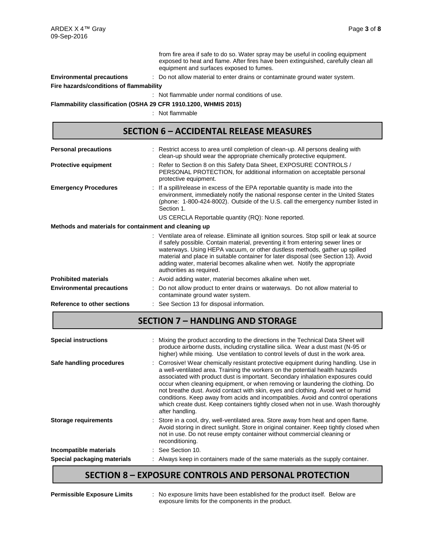from fire area if safe to do so. Water spray may be useful in cooling equipment exposed to heat and flame. After fires have been extinguished, carefully clean all equipment and surfaces exposed to fumes.

**Environmental precautions** : Do not allow material to enter drains or contaminate ground water system.

**Fire hazards/conditions of flammability**

: Not flammable under normal conditions of use.

**Flammability classification (OSHA 29 CFR 1910.1200, WHMIS 2015)**

: Not flammable

### **SECTION 6 – ACCIDENTAL RELEASE MEASURES**

| <b>Personal precautions</b>                           |  | : Restrict access to area until completion of clean-up. All persons dealing with<br>clean-up should wear the appropriate chemically protective equipment.                                                                                                                                                                                                                                                                                                  |  |  |  |
|-------------------------------------------------------|--|------------------------------------------------------------------------------------------------------------------------------------------------------------------------------------------------------------------------------------------------------------------------------------------------------------------------------------------------------------------------------------------------------------------------------------------------------------|--|--|--|
| <b>Protective equipment</b>                           |  | : Refer to Section 8 on this Safety Data Sheet, EXPOSURE CONTROLS /<br>PERSONAL PROTECTION, for additional information on acceptable personal<br>protective equipment.                                                                                                                                                                                                                                                                                     |  |  |  |
| <b>Emergency Procedures</b>                           |  | : If a spill/release in excess of the EPA reportable quantity is made into the<br>environment, immediately notify the national response center in the United States<br>(phone: 1-800-424-8002). Outside of the U.S. call the emergency number listed in<br>Section 1.                                                                                                                                                                                      |  |  |  |
|                                                       |  | US CERCLA Reportable quantity (RQ): None reported.                                                                                                                                                                                                                                                                                                                                                                                                         |  |  |  |
| Methods and materials for containment and cleaning up |  |                                                                                                                                                                                                                                                                                                                                                                                                                                                            |  |  |  |
|                                                       |  | : Ventilate area of release. Eliminate all ignition sources. Stop spill or leak at source<br>if safely possible. Contain material, preventing it from entering sewer lines or<br>waterways. Using HEPA vacuum, or other dustless methods, gather up spilled<br>material and place in suitable container for later disposal (see Section 13). Avoid<br>adding water, material becomes alkaline when wet. Notify the appropriate<br>authorities as required. |  |  |  |
| <b>Prohibited materials</b>                           |  | : Avoid adding water, material becomes alkaline when wet.                                                                                                                                                                                                                                                                                                                                                                                                  |  |  |  |
| <b>Environmental precautions</b>                      |  | Do not allow product to enter drains or waterways. Do not allow material to<br>contaminate ground water system.                                                                                                                                                                                                                                                                                                                                            |  |  |  |
| Reference to other sections                           |  | : See Section 13 for disposal information.                                                                                                                                                                                                                                                                                                                                                                                                                 |  |  |  |

## **SECTION 7 – HANDLING AND STORAGE**

| <b>Special instructions</b> | : Mixing the product according to the directions in the Technical Data Sheet will<br>produce airborne dusts, including crystalline silica. Wear a dust mast (N-95 or<br>higher) while mixing. Use ventilation to control levels of dust in the work area.                                                                                                                                                                                                                                                                                                                                                                 |
|-----------------------------|---------------------------------------------------------------------------------------------------------------------------------------------------------------------------------------------------------------------------------------------------------------------------------------------------------------------------------------------------------------------------------------------------------------------------------------------------------------------------------------------------------------------------------------------------------------------------------------------------------------------------|
| Safe handling procedures    | : Corrosive! Wear chemically resistant protective equipment during handling. Use in<br>a well-ventilated area. Training the workers on the potential health hazards<br>associated with product dust is important. Secondary inhalation exposures could<br>occur when cleaning equipment, or when removing or laundering the clothing. Do<br>not breathe dust. Avoid contact with skin, eyes and clothing. Avoid wet or humid<br>conditions. Keep away from acids and incompatibles. Avoid and control operations<br>which create dust. Keep containers tightly closed when not in use. Wash thoroughly<br>after handling. |
| <b>Storage requirements</b> | : Store in a cool, dry, well-ventilated area. Store away from heat and open flame.<br>Avoid storing in direct sunlight. Store in original container. Keep tightly closed when<br>not in use. Do not reuse empty container without commercial cleaning or<br>reconditioning.                                                                                                                                                                                                                                                                                                                                               |
| Incompatible materials      | See Section 10.                                                                                                                                                                                                                                                                                                                                                                                                                                                                                                                                                                                                           |
| Special packaging materials | Always keep in containers made of the same materials as the supply container.                                                                                                                                                                                                                                                                                                                                                                                                                                                                                                                                             |

# **SECTION 8 – EXPOSURE CONTROLS AND PERSONAL PROTECTION**

: No exposure limits have been established for the product itself. Below are exposure limits for the components in the product.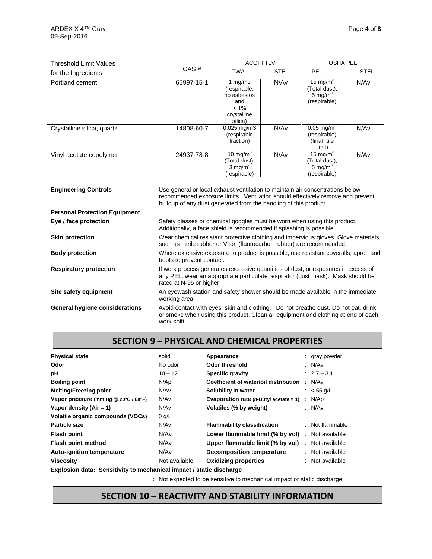| <b>Threshold Limit Values</b> |            | <b>ACGIH TLV</b>                                                                      |             | <b>OSHA PEL</b>                                                     |                  |
|-------------------------------|------------|---------------------------------------------------------------------------------------|-------------|---------------------------------------------------------------------|------------------|
| for the Ingredients           | CAS#       | <b>TWA</b>                                                                            | <b>STEL</b> | <b>PEL</b>                                                          | <b>STEL</b>      |
| Portland cement               | 65997-15-1 | 1 mg/m $3$<br>(respirable,<br>no asbestos<br>and<br>$< 1\%$<br>crystalline<br>silica) | N/Av        | 15 mg/m <sup>3</sup><br>Total dust);<br>5 mg/ $m^3$<br>(respirable) | N/Av             |
| Crystalline silica, quartz    | 14808-60-7 | $0.025$ mg/m3<br>(respirable<br>fraction)                                             | N/Av        | $0.05$ mg/m <sup>3</sup><br>(respirable)<br>(final rule<br>limit)   | N/Av             |
| Vinyl acetate copolymer       | 24937-78-8 | 10 mg/m <sup>3</sup><br>(Total dust);<br>3 mg/m $3$<br>(respirable)                   | N/Av        | 15 mg/m $3$<br>Total dust);<br>5 mg/ $m3$<br>(respirable)           | N/A <sub>v</sub> |

| <b>Engineering Controls</b>          | : Use general or local exhaust ventilation to maintain air concentrations below<br>recommended exposure limits. Ventilation should effectively remove and prevent<br>buildup of any dust generated from the handling of this product. |  |  |  |
|--------------------------------------|---------------------------------------------------------------------------------------------------------------------------------------------------------------------------------------------------------------------------------------|--|--|--|
| <b>Personal Protection Equipment</b> |                                                                                                                                                                                                                                       |  |  |  |
| Eye / face protection                | : Safety glasses or chemical goggles must be worn when using this product.<br>Additionally, a face shield is recommended if splashing is possible.                                                                                    |  |  |  |
| <b>Skin protection</b>               | : Wear chemical resistant protective clothing and impervious gloves. Glove materials<br>such as nitrile rubber or Viton (fluorocarbon rubber) are recommended.                                                                        |  |  |  |
| <b>Body protection</b>               | : Where extensive exposure to product is possible, use resistant coveralls, apron and<br>boots to prevent contact.                                                                                                                    |  |  |  |
| <b>Respiratory protection</b>        | : If work process generates excessive quantities of dust, or exposures in excess of<br>any PEL, wear an appropriate particulate respirator (dust mask). Mask should be<br>rated at N-95 or higher.                                    |  |  |  |
| Site safety equipment                | : An eyewash station and safety shower should be made available in the immediate<br>working area.                                                                                                                                     |  |  |  |
| General hygiene considerations       | : Avoid contact with eyes, skin and clothing. Do not breathe dust. Do not eat, drink<br>or smoke when using this product. Clean all equipment and clothing at end of each<br>work shift.                                              |  |  |  |

# **SECTION 9 – PHYSICAL AND CHEMICAL PROPERTIES**

| <b>Physical state</b>                                             |   | : solid              | Appearance                                 | : gray powder   |
|-------------------------------------------------------------------|---|----------------------|--------------------------------------------|-----------------|
| Odor                                                              |   | $\therefore$ No odor | Odor threshold                             | : $N/Av$        |
| рH                                                                |   | $: 10 - 12$          | <b>Specific gravity</b>                    | $: 2.7 - 3.1$   |
| <b>Boiling point</b>                                              |   | : $N/Ap$             | Coefficient of water/oil distribution      | : N/Av          |
| <b>Melting/Freezing point</b>                                     |   | : N/Av               | Solubility in water                        | : $< 55$ g/L    |
| Vapor pressure (mm Hg @ 20°C / 68°F)                              |   | : N/Av               | Evaporation rate ( $n$ -Butyl acetate = 1) | : N/Ap          |
| Vapor density $(Air = 1)$                                         |   | : N/Av               | Volatiles (% by weight)                    | : N/Av          |
| Volatile organic compounds (VOCs)                                 | ÷ | $0$ g/L              |                                            |                 |
| Particle size                                                     |   | : N/Av               | <b>Flammability classification</b>         | : Not flammable |
| <b>Flash point</b>                                                |   | : $N/Av$             | Lower flammable limit (% by vol)           | : Not available |
| Flash point method                                                |   | : $N/Av$             | Upper flammable limit (% by vol)           | : Not available |
| <b>Auto-ignition temperature</b>                                  |   | : N/Av               | <b>Decomposition temperature</b>           | : Not available |
| <b>Viscosity</b>                                                  |   | : Not available      | <b>Oxidizing properties</b>                | : Not available |
| Evalazion deta: Cancificituto meghanical impest Latetia disabargo |   |                      |                                            |                 |

**Explosion data: Sensitivity to mechanical impact / static discharge**

**:** Not expected to be sensitive to mechanical impact or static discharge.

# **SECTION 10 – REACTIVITY AND STABILITY INFORMATION**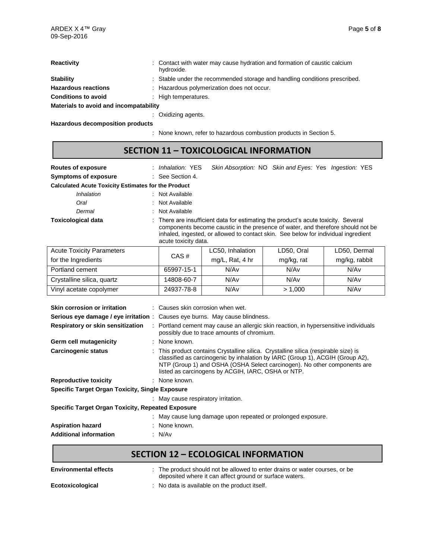| <b>Reactivity</b>                      | : Contact with water may cause hydration and formation of caustic calcium<br>hydroxide. |  |  |  |
|----------------------------------------|-----------------------------------------------------------------------------------------|--|--|--|
| <b>Stability</b>                       | : Stable under the recommended storage and handling conditions prescribed.              |  |  |  |
| <b>Hazardous reactions</b>             | : Hazardous polymerization does not occur.                                              |  |  |  |
| <b>Conditions to avoid</b>             | : High temperatures.                                                                    |  |  |  |
| Materials to avoid and incompatability |                                                                                         |  |  |  |
|                                        | : Oxidizing agents.                                                                     |  |  |  |

**Hazardous decomposition products**

: None known, refer to hazardous combustion products in Section 5.

# **SECTION 11 – TOXICOLOGICAL INFORMATION**

| <b>Routes of exposure</b>                                  | : <i>Inhalation:</i> YES | Skin Absorption: NO Skin and Eyes: Yes Ingestion: YES                                                                                                                                                                                                       |
|------------------------------------------------------------|--------------------------|-------------------------------------------------------------------------------------------------------------------------------------------------------------------------------------------------------------------------------------------------------------|
| <b>Symptoms of exposure</b>                                | : See Section 4.         |                                                                                                                                                                                                                                                             |
| <b>Calculated Acute Toxicity Estimates for the Product</b> |                          |                                                                                                                                                                                                                                                             |
| <i><b>Inhalation</b></i>                                   | : Not Available          |                                                                                                                                                                                                                                                             |
| Oral                                                       | : Not Available          |                                                                                                                                                                                                                                                             |
| Dermal                                                     | : Not Available          |                                                                                                                                                                                                                                                             |
| <b>Toxicological data</b>                                  | acute toxicity data.     | : There are insufficient data for estimating the product's acute toxicity. Several<br>components become caustic in the presence of water, and therefore should not be<br>inhaled, ingested, or allowed to contact skin. See below for individual ingredient |

| <b>Acute Toxicity Parameters</b> |            | LC50, Inhalation | LD50, Oral | LD50, Dermal  |
|----------------------------------|------------|------------------|------------|---------------|
| for the Ingredients              | CAS#       | mg/L, Rat, 4 hr  | mg/kg, rat | mg/kg, rabbit |
| Portland cement                  | 65997-15-1 | N/Av             | N/Av       | N/Av          |
| Crystalline silica, quartz       | 14808-60-7 | N/Av             | N/Av       | N/Av          |
| Vinyl acetate copolymer          | 24937-78-8 | N/Av             | > 1.000    | N/Av          |

| Skin corrosion or irritation                             | $\therefore$ Causes skin corrosion when wet.                                                                                                                                                                                                                                                           |  |  |
|----------------------------------------------------------|--------------------------------------------------------------------------------------------------------------------------------------------------------------------------------------------------------------------------------------------------------------------------------------------------------|--|--|
| Serious eye damage / eye irritation:                     | Causes eye burns. May cause blindness.                                                                                                                                                                                                                                                                 |  |  |
| Respiratory or skin sensitization                        | Portland cement may cause an allergic skin reaction, in hypersensitive individuals<br>possibly due to trace amounts of chromium.                                                                                                                                                                       |  |  |
| Germ cell mutagenicity                                   | : None known.                                                                                                                                                                                                                                                                                          |  |  |
| <b>Carcinogenic status</b>                               | : This product contains Crystalline silica. Crystalline silica (respirable size) is<br>classified as carcinogenic by inhalation by IARC (Group 1), ACGIH (Group A2),<br>NTP (Group 1) and OSHA (OSHA Select carcinogen). No other components are<br>listed as carcinogens by ACGIH, IARC, OSHA or NTP. |  |  |
| <b>Reproductive toxicity</b>                             | : None known.                                                                                                                                                                                                                                                                                          |  |  |
| <b>Specific Target Organ Toxicity, Single Exposure</b>   |                                                                                                                                                                                                                                                                                                        |  |  |
|                                                          | : May cause respiratory irritation.                                                                                                                                                                                                                                                                    |  |  |
| <b>Specific Target Organ Toxicity, Repeated Exposure</b> |                                                                                                                                                                                                                                                                                                        |  |  |
|                                                          | : May cause lung damage upon repeated or prolonged exposure.                                                                                                                                                                                                                                           |  |  |
| <b>Aspiration hazard</b>                                 | : None known.                                                                                                                                                                                                                                                                                          |  |  |
| <b>Additional information</b>                            | : N/Av                                                                                                                                                                                                                                                                                                 |  |  |

# **SECTION 12 – ECOLOGICAL INFORMATION**

| <b>Environmental effects</b> | : The product should not be allowed to enter drains or water courses, or be<br>deposited where it can affect ground or surface waters. |
|------------------------------|----------------------------------------------------------------------------------------------------------------------------------------|
| Ecotoxicological             | : No data is available on the product itself.                                                                                          |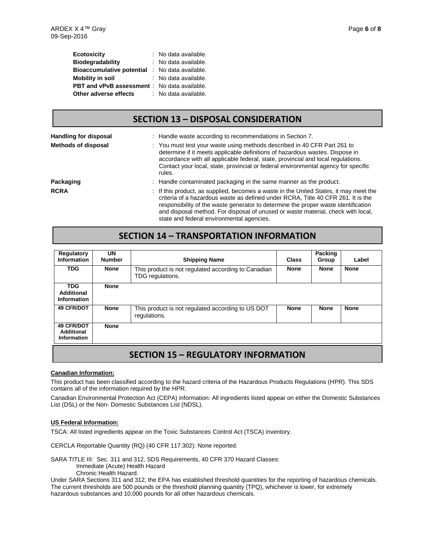| <b>Ecotoxicity</b>                                  | : No data available. |
|-----------------------------------------------------|----------------------|
| <b>Biodegradability</b>                             | : No data available. |
| <b>Bioaccumulative potential</b>                    | : No data available. |
| <b>Mobility in soil</b>                             | : No data available. |
| <b>PBT and vPvB assessment</b> : No data available. |                      |
| Other adverse effects                               | : No data available. |

### **SECTION 13 – DISPOSAL CONSIDERATION**

| <b>Handling for disposal</b> | : Handle waste according to recommendations in Section 7.                                                                                                                                                                                                                                                                                                                                        |
|------------------------------|--------------------------------------------------------------------------------------------------------------------------------------------------------------------------------------------------------------------------------------------------------------------------------------------------------------------------------------------------------------------------------------------------|
| Methods of disposal          | : You must test your waste using methods described in 40 CFR Part 261 to<br>determine if it meets applicable definitions of hazardous wastes. Dispose in<br>accordance with all applicable federal, state, provincial and local regulations.<br>Contact your local, state, provincial or federal environmental agency for specific<br>rules.                                                     |
| Packaging                    | : Handle contaminated packaging in the same manner as the product.                                                                                                                                                                                                                                                                                                                               |
| <b>RCRA</b>                  | : If this product, as supplied, becomes a waste in the United States, it may meet the<br>criteria of a hazardous waste as defined under RCRA. Title 40 CFR 261. It is the<br>responsibility of the waste generator to determine the proper waste identification<br>and disposal method. For disposal of unused or waste material, check with local,<br>state and federal environmental agencies. |

## **SECTION 14 – TRANSPORTATION INFORMATION**

| Regulatory<br><b>Information</b>               | UN<br><b>Number</b> | <b>Shipping Name</b>                                                    | <b>Class</b> | <b>Packing</b><br>Group | Label       |
|------------------------------------------------|---------------------|-------------------------------------------------------------------------|--------------|-------------------------|-------------|
| <b>TDG</b>                                     | <b>None</b>         | This product is not regulated according to Canadian<br>TDG regulations. | <b>None</b>  | <b>None</b>             | <b>None</b> |
| <b>TDG</b><br>Additional<br><b>Information</b> | <b>None</b>         |                                                                         |              |                         |             |
| <b>49 CFR/DOT</b>                              | <b>None</b>         | This product is not regulated according to US DOT<br>regulations.       | <b>None</b>  | <b>None</b>             | <b>None</b> |
| <b>49 CFR/DOT</b><br>Additional<br>Information | <b>None</b>         |                                                                         |              |                         |             |

### **SECTION 15 – REGULATORY INFORMATION**

#### **Canadian Information:**

This product has been classified according to the hazard criteria of the Hazardous Products Regulations (HPR). This SDS contains all of the information required by the HPR.

Canadian Environmental Protection Act (CEPA) information: All ingredients listed appear on either the Domestic Substances List (DSL) or the Non- Domestic Substances List (NDSL).

#### **US Federal Information:**

TSCA: All listed ingredients appear on the Toxic Substances Control Act (TSCA) inventory.

CERCLA Reportable Quantity (RQ) (40 CFR 117.302): None reported.

SARA TITLE III: Sec. 311 and 312, SDS Requirements, 40 CFR 370 Hazard Classes: Immediate (Acute) Health Hazard Chronic Health Hazard.

Under SARA Sections 311 and 312, the EPA has established threshold quantities for the reporting of hazardous chemicals. The current thresholds are 500 pounds or the threshold planning quantity (TPQ), whichever is lower, for extremely hazardous substances and 10,000 pounds for all other hazardous chemicals.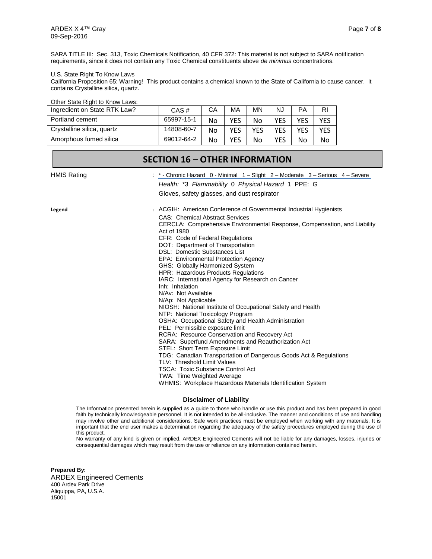#### U.S. State Right To Know Laws

California Proposition 65: Warning! This product contains a chemical known to the State of California to cause cancer. It contains Crystalline silica, quartz.

| Other State Right to Know Laws: |            |    |     |     |     |     |     |
|---------------------------------|------------|----|-----|-----|-----|-----|-----|
| Ingredient on State RTK Law?    | CAS#       | CА | МA  | ΜN  | NJ  | РA  | RI  |
| Portland cement                 | 65997-15-1 | No | YES | No  | YFS | YES | YES |
| Crystalline silica, quartz      | 14808-60-7 | No | YFS | YFS | YFS | YFS | YES |
| Amorphous fumed silica          | 69012-64-2 | No | YES | No  | YES | No  | No. |

|                    | <b>SECTION 16 - OTHER INFORMATION</b>                                                                                                                                                                                                                                                                                                                                                                                                                                                                                                                                                                                                                                                                                                                                                                                                                                                                                                                                                                                                                                                                                                                       |
|--------------------|-------------------------------------------------------------------------------------------------------------------------------------------------------------------------------------------------------------------------------------------------------------------------------------------------------------------------------------------------------------------------------------------------------------------------------------------------------------------------------------------------------------------------------------------------------------------------------------------------------------------------------------------------------------------------------------------------------------------------------------------------------------------------------------------------------------------------------------------------------------------------------------------------------------------------------------------------------------------------------------------------------------------------------------------------------------------------------------------------------------------------------------------------------------|
| <b>HMIS Rating</b> | *- Chronic Hazard 0 - Minimal 1 – Slight 2 – Moderate 3 – Serious 4 – Severe<br>Health: *3 Flammability 0 Physical Hazard 1 PPE: G<br>Gloves, safety glasses, and dust respirator                                                                                                                                                                                                                                                                                                                                                                                                                                                                                                                                                                                                                                                                                                                                                                                                                                                                                                                                                                           |
| Legend             | : ACGIH: American Conference of Governmental Industrial Hygienists<br><b>CAS: Chemical Abstract Services</b><br>CERCLA: Comprehensive Environmental Response, Compensation, and Liability<br>Act of 1980<br>CFR: Code of Federal Regulations<br>DOT: Department of Transportation<br><b>DSL: Domestic Substances List</b><br>EPA: Environmental Protection Agency<br>GHS: Globally Harmonized System<br>HPR: Hazardous Products Regulations<br>IARC: International Agency for Research on Cancer<br>Inh: Inhalation<br>N/Av: Not Available<br>N/Ap: Not Applicable<br>NIOSH: National Institute of Occupational Safety and Health<br>NTP: National Toxicology Program<br>OSHA: Occupational Safety and Health Administration<br>PEL: Permissible exposure limit<br><b>RCRA: Resource Conservation and Recovery Act</b><br>SARA: Superfund Amendments and Reauthorization Act<br>STEL: Short Term Exposure Limit<br>TDG: Canadian Transportation of Dangerous Goods Act & Regulations<br>TLV: Threshold Limit Values<br><b>TSCA: Toxic Substance Control Act</b><br>TWA: Time Weighted Average<br>WHMIS: Workplace Hazardous Materials Identification System |

#### **Disclaimer of Liability**

The Information presented herein is supplied as a guide to those who handle or use this product and has been prepared in good faith by technically knowledgeable personnel. It is not intended to be all-inclusive. The manner and conditions of use and handling may involve other and additional considerations. Safe work practices must be employed when working with any materials. It is important that the end user makes a determination regarding the adequacy of the safety procedures employed during the use of this product.

No warranty of any kind is given or implied. ARDEX Engineered Cements will not be liable for any damages, losses, injuries or consequential damages which may result from the use or reliance on any information contained herein.

**Prepared By:** ARDEX Engineered Cements 400 Ardex Park Drive Aliquippa, PA, U.S.A. 15001